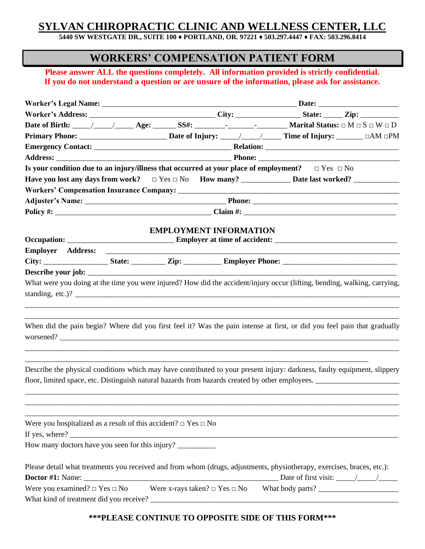# **SYLVAN CHIROPRACTIC CLINIC AND WELLNESS CENTER, LLC**

**5440 SW WESTGATE DR., SUITE 100 ♦ PORTLAND, OR. 97221 ♦ 503.297.4447 ♦ FAX: 503.296.8414**

## **WORKERS' COMPENSATION PATIENT FORM**

**Please answer ALL the questions completely. All information provided is strictly confidential. If you do not understand a question or are unsure of the information, please ask for assistance.**

|                                                                          |  |                                         |  |                                                                                                                           | Worker's Address: _________________________________City: _________________State: ______Zip: ______________ |  |
|--------------------------------------------------------------------------|--|-----------------------------------------|--|---------------------------------------------------------------------------------------------------------------------------|------------------------------------------------------------------------------------------------------------|--|
|                                                                          |  |                                         |  |                                                                                                                           |                                                                                                            |  |
|                                                                          |  |                                         |  |                                                                                                                           |                                                                                                            |  |
|                                                                          |  |                                         |  |                                                                                                                           |                                                                                                            |  |
|                                                                          |  |                                         |  |                                                                                                                           |                                                                                                            |  |
|                                                                          |  |                                         |  | Is your condition due to an injury/illness that occurred at your place of employment? $\Box$ Yes $\Box$ No                |                                                                                                            |  |
|                                                                          |  |                                         |  |                                                                                                                           |                                                                                                            |  |
|                                                                          |  |                                         |  |                                                                                                                           |                                                                                                            |  |
|                                                                          |  |                                         |  |                                                                                                                           |                                                                                                            |  |
|                                                                          |  |                                         |  |                                                                                                                           |                                                                                                            |  |
|                                                                          |  |                                         |  |                                                                                                                           |                                                                                                            |  |
|                                                                          |  | <b>EMPLOYMENT INFORMATION</b>           |  |                                                                                                                           |                                                                                                            |  |
| <b>Employer Address:</b>                                                 |  |                                         |  |                                                                                                                           |                                                                                                            |  |
|                                                                          |  |                                         |  |                                                                                                                           |                                                                                                            |  |
|                                                                          |  |                                         |  |                                                                                                                           |                                                                                                            |  |
|                                                                          |  |                                         |  | What were you doing at the time you were injured? How did the accident/injury occur (lifting, bending, walking, carrying, |                                                                                                            |  |
| standing, etc.)? $\qquad \qquad$                                         |  |                                         |  |                                                                                                                           |                                                                                                            |  |
|                                                                          |  |                                         |  |                                                                                                                           |                                                                                                            |  |
|                                                                          |  |                                         |  |                                                                                                                           |                                                                                                            |  |
|                                                                          |  |                                         |  | When did the pain begin? Where did you first feel it? Was the pain intense at first, or did you feel pain that gradually  |                                                                                                            |  |
|                                                                          |  |                                         |  |                                                                                                                           |                                                                                                            |  |
|                                                                          |  |                                         |  |                                                                                                                           |                                                                                                            |  |
|                                                                          |  |                                         |  |                                                                                                                           |                                                                                                            |  |
|                                                                          |  |                                         |  | Describe the physical conditions which may have contributed to your present injury: darkness, faulty equipment, slippery  |                                                                                                            |  |
|                                                                          |  |                                         |  |                                                                                                                           |                                                                                                            |  |
|                                                                          |  |                                         |  |                                                                                                                           |                                                                                                            |  |
|                                                                          |  |                                         |  |                                                                                                                           |                                                                                                            |  |
|                                                                          |  |                                         |  |                                                                                                                           |                                                                                                            |  |
| Were you hospitalized as a result of this accident? $\Box$ Yes $\Box$ No |  |                                         |  |                                                                                                                           |                                                                                                            |  |
|                                                                          |  |                                         |  | If yes, where?                                                                                                            |                                                                                                            |  |
| How many doctors have you seen for this injury?                          |  |                                         |  |                                                                                                                           |                                                                                                            |  |
|                                                                          |  |                                         |  | Please detail what treatments you received and from whom (drugs, adjustments, physiotherapy, exercises, braces, etc.):    |                                                                                                            |  |
|                                                                          |  |                                         |  | Date of first visit: $\frac{\sqrt{2}}{2}$                                                                                 |                                                                                                            |  |
| Were you examined? $\Box$ Yes $\Box$ No                                  |  | Were x-rays taken? $\Box$ Yes $\Box$ No |  |                                                                                                                           |                                                                                                            |  |
|                                                                          |  |                                         |  |                                                                                                                           |                                                                                                            |  |
|                                                                          |  |                                         |  |                                                                                                                           |                                                                                                            |  |

#### **\*\*\*PLEASE CONTINUE TO OPPOSITE SIDE OF THIS FORM\*\*\***